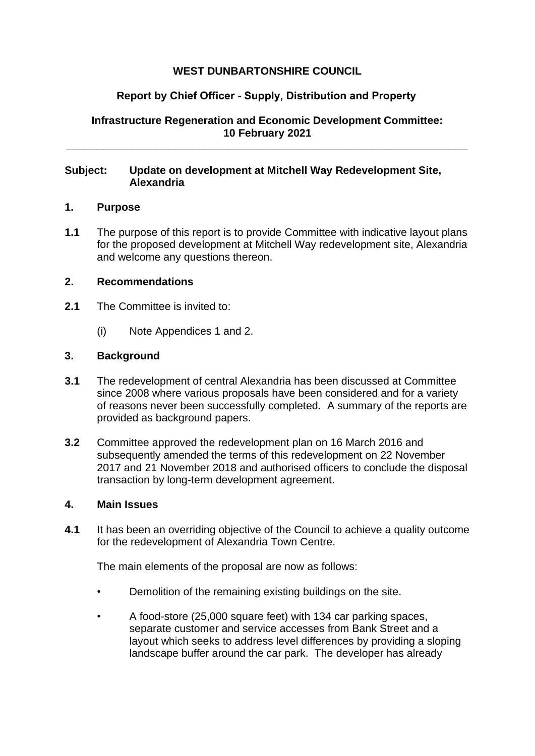# **WEST DUNBARTONSHIRE COUNCIL**

# **Report by Chief Officer - Supply, Distribution and Property**

**Infrastructure Regeneration and Economic Development Committee: 10 February 2021**

**\_\_\_\_\_\_\_\_\_\_\_\_\_\_\_\_\_\_\_\_\_\_\_\_\_\_\_\_\_\_\_\_\_\_\_\_\_\_\_\_\_\_\_\_\_\_\_\_\_\_\_\_\_\_\_\_\_\_\_\_\_\_\_\_\_\_\_**

# **Subject: Update on development at Mitchell Way Redevelopment Site, Alexandria**

## **1. Purpose**

**1.1** The purpose of this report is to provide Committee with indicative layout plans for the proposed development at Mitchell Way redevelopment site, Alexandria and welcome any questions thereon.

# **2. Recommendations**

- **2.1** The Committee is invited to:
	- (i) Note Appendices 1 and 2.

# **3. Background**

- **3.1** The redevelopment of central Alexandria has been discussed at Committee since 2008 where various proposals have been considered and for a variety of reasons never been successfully completed. A summary of the reports are provided as background papers.
- **3.2** Committee approved the redevelopment plan on 16 March 2016 and subsequently amended the terms of this redevelopment on 22 November 2017 and 21 November 2018 and authorised officers to conclude the disposal transaction by long-term development agreement.

## **4. Main Issues**

**4.1** It has been an overriding objective of the Council to achieve a quality outcome for the redevelopment of Alexandria Town Centre.

The main elements of the proposal are now as follows:

- Demolition of the remaining existing buildings on the site.
- A food-store (25,000 square feet) with 134 car parking spaces, separate customer and service accesses from Bank Street and a layout which seeks to address level differences by providing a sloping landscape buffer around the car park. The developer has already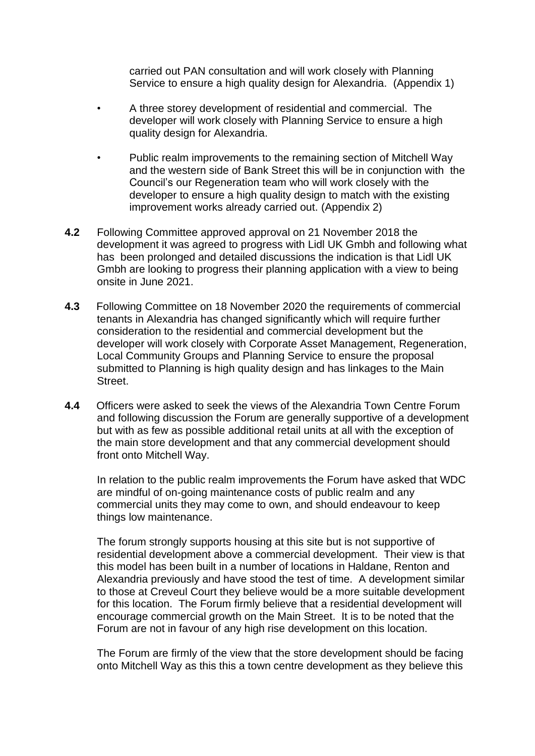carried out PAN consultation and will work closely with Planning Service to ensure a high quality design for Alexandria. (Appendix 1)

- A three storey development of residential and commercial. The developer will work closely with Planning Service to ensure a high quality design for Alexandria.
- Public realm improvements to the remaining section of Mitchell Way and the western side of Bank Street this will be in conjunction with the Council's our Regeneration team who will work closely with the developer to ensure a high quality design to match with the existing improvement works already carried out. (Appendix 2)
- **4.2** Following Committee approved approval on 21 November 2018 the development it was agreed to progress with Lidl UK Gmbh and following what has been prolonged and detailed discussions the indication is that Lidl UK Gmbh are looking to progress their planning application with a view to being onsite in June 2021.
- **4.3** Following Committee on 18 November 2020 the requirements of commercial tenants in Alexandria has changed significantly which will require further consideration to the residential and commercial development but the developer will work closely with Corporate Asset Management, Regeneration, Local Community Groups and Planning Service to ensure the proposal submitted to Planning is high quality design and has linkages to the Main Street.
- **4.4** Officers were asked to seek the views of the Alexandria Town Centre Forum and following discussion the Forum are generally supportive of a development but with as few as possible additional retail units at all with the exception of the main store development and that any commercial development should front onto Mitchell Way.

In relation to the public realm improvements the Forum have asked that WDC are mindful of on-going maintenance costs of public realm and any commercial units they may come to own, and should endeavour to keep things low maintenance.

The forum strongly supports housing at this site but is not supportive of residential development above a commercial development. Their view is that this model has been built in a number of locations in Haldane, Renton and Alexandria previously and have stood the test of time. A development similar to those at Creveul Court they believe would be a more suitable development for this location. The Forum firmly believe that a residential development will encourage commercial growth on the Main Street. It is to be noted that the Forum are not in favour of any high rise development on this location.

The Forum are firmly of the view that the store development should be facing onto Mitchell Way as this this a town centre development as they believe this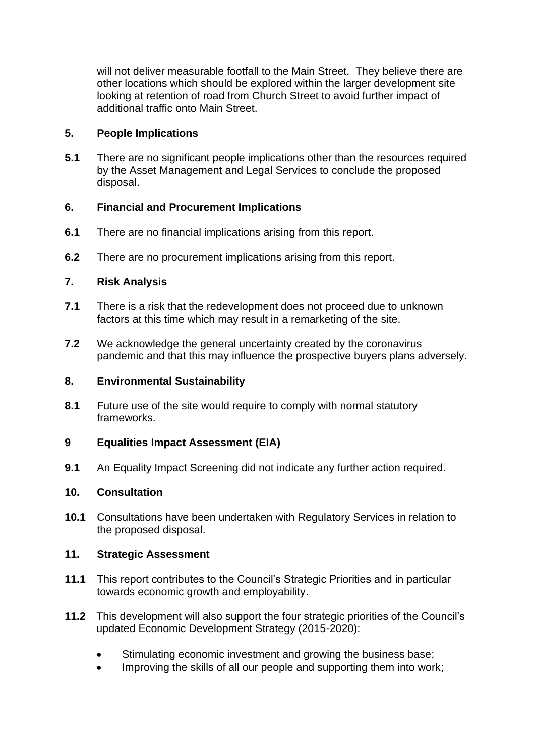will not deliver measurable footfall to the Main Street. They believe there are other locations which should be explored within the larger development site looking at retention of road from Church Street to avoid further impact of additional traffic onto Main Street.

## **5. People Implications**

**5.1** There are no significant people implications other than the resources required by the Asset Management and Legal Services to conclude the proposed disposal.

# **6. Financial and Procurement Implications**

- **6.1** There are no financial implications arising from this report.
- **6.2** There are no procurement implications arising from this report.

# **7. Risk Analysis**

- **7.1** There is a risk that the redevelopment does not proceed due to unknown factors at this time which may result in a remarketing of the site.
- **7.2** We acknowledge the general uncertainty created by the coronavirus pandemic and that this may influence the prospective buyers plans adversely.

## **8. Environmental Sustainability**

**8.1** Future use of the site would require to comply with normal statutory frameworks.

## **9 Equalities Impact Assessment (EIA)**

**9.1** An Equality Impact Screening did not indicate any further action required.

## **10. Consultation**

**10.1** Consultations have been undertaken with Regulatory Services in relation to the proposed disposal.

## **11. Strategic Assessment**

- **11.1** This report contributes to the Council's Strategic Priorities and in particular towards economic growth and employability.
- **11.2** This development will also support the four strategic priorities of the Council's updated Economic Development Strategy (2015-2020):
	- Stimulating economic investment and growing the business base;
	- Improving the skills of all our people and supporting them into work;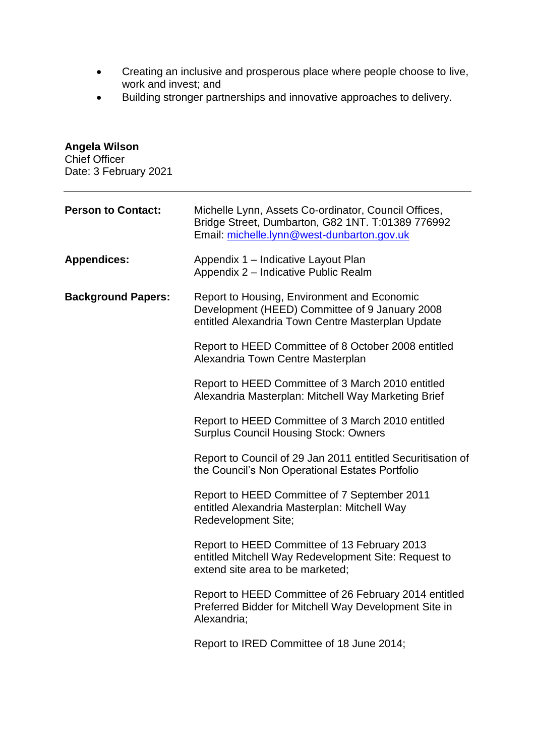- Creating an inclusive and prosperous place where people choose to live, work and invest; and
- Building stronger partnerships and innovative approaches to delivery.

**Angela Wilson** 

| <b>Chief Officer</b><br>Date: 3 February 2021 |                                                                                                                                                         |
|-----------------------------------------------|---------------------------------------------------------------------------------------------------------------------------------------------------------|
| <b>Person to Contact:</b>                     | Michelle Lynn, Assets Co-ordinator, Council Offices,<br>Bridge Street, Dumbarton, G82 1NT. T:01389 776992<br>Email: michelle.lynn@west-dunbarton.gov.uk |
| <b>Appendices:</b>                            | Appendix 1 - Indicative Layout Plan<br>Appendix 2 - Indicative Public Realm                                                                             |
| <b>Background Papers:</b>                     | Report to Housing, Environment and Economic<br>Development (HEED) Committee of 9 January 2008<br>entitled Alexandria Town Centre Masterplan Update      |
|                                               | Report to HEED Committee of 8 October 2008 entitled<br>Alexandria Town Centre Masterplan                                                                |
|                                               | Report to HEED Committee of 3 March 2010 entitled<br>Alexandria Masterplan: Mitchell Way Marketing Brief                                                |
|                                               | Report to HEED Committee of 3 March 2010 entitled<br><b>Surplus Council Housing Stock: Owners</b>                                                       |
|                                               | Report to Council of 29 Jan 2011 entitled Securitisation of<br>the Council's Non Operational Estates Portfolio                                          |
|                                               | Report to HEED Committee of 7 September 2011<br>entitled Alexandria Masterplan: Mitchell Way<br><b>Redevelopment Site;</b>                              |
|                                               | Report to HEED Committee of 13 February 2013<br>entitled Mitchell Way Redevelopment Site: Request to<br>extend site area to be marketed;                |
|                                               | Report to HEED Committee of 26 February 2014 entitled<br>Preferred Bidder for Mitchell Way Development Site in<br>Alexandria;                           |
|                                               | Report to IRED Committee of 18 June 2014;                                                                                                               |